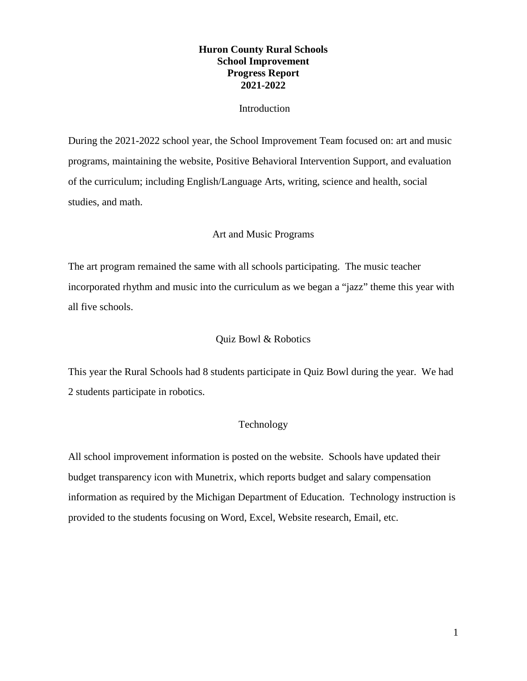# **Huron County Rural Schools School Improvement Progress Report 2021-2022**

### Introduction

During the 2021-2022 school year, the School Improvement Team focused on: art and music programs, maintaining the website, Positive Behavioral Intervention Support, and evaluation of the curriculum; including English/Language Arts, writing, science and health, social studies, and math.

# Art and Music Programs

The art program remained the same with all schools participating. The music teacher incorporated rhythm and music into the curriculum as we began a "jazz" theme this year with all five schools.

### Quiz Bowl & Robotics

This year the Rural Schools had 8 students participate in Quiz Bowl during the year. We had 2 students participate in robotics.

# Technology

All school improvement information is posted on the website. Schools have updated their budget transparency icon with Munetrix, which reports budget and salary compensation information as required by the Michigan Department of Education. Technology instruction is provided to the students focusing on Word, Excel, Website research, Email, etc.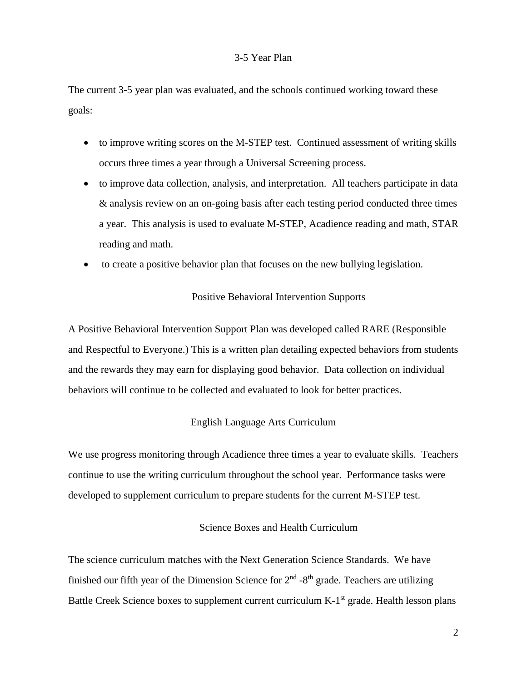#### 3-5 Year Plan

The current 3-5 year plan was evaluated, and the schools continued working toward these goals:

- to improve writing scores on the M-STEP test. Continued assessment of writing skills occurs three times a year through a Universal Screening process.
- to improve data collection, analysis, and interpretation. All teachers participate in data & analysis review on an on-going basis after each testing period conducted three times a year. This analysis is used to evaluate M-STEP, Acadience reading and math, STAR reading and math.
- to create a positive behavior plan that focuses on the new bullying legislation.

#### Positive Behavioral Intervention Supports

A Positive Behavioral Intervention Support Plan was developed called RARE (Responsible and Respectful to Everyone.) This is a written plan detailing expected behaviors from students and the rewards they may earn for displaying good behavior. Data collection on individual behaviors will continue to be collected and evaluated to look for better practices.

### English Language Arts Curriculum

We use progress monitoring through Acadience three times a year to evaluate skills. Teachers continue to use the writing curriculum throughout the school year. Performance tasks were developed to supplement curriculum to prepare students for the current M-STEP test.

#### Science Boxes and Health Curriculum

The science curriculum matches with the Next Generation Science Standards. We have finished our fifth year of the Dimension Science for  $2<sup>nd</sup>$  -8<sup>th</sup> grade. Teachers are utilizing Battle Creek Science boxes to supplement current curriculum K-1<sup>st</sup> grade. Health lesson plans